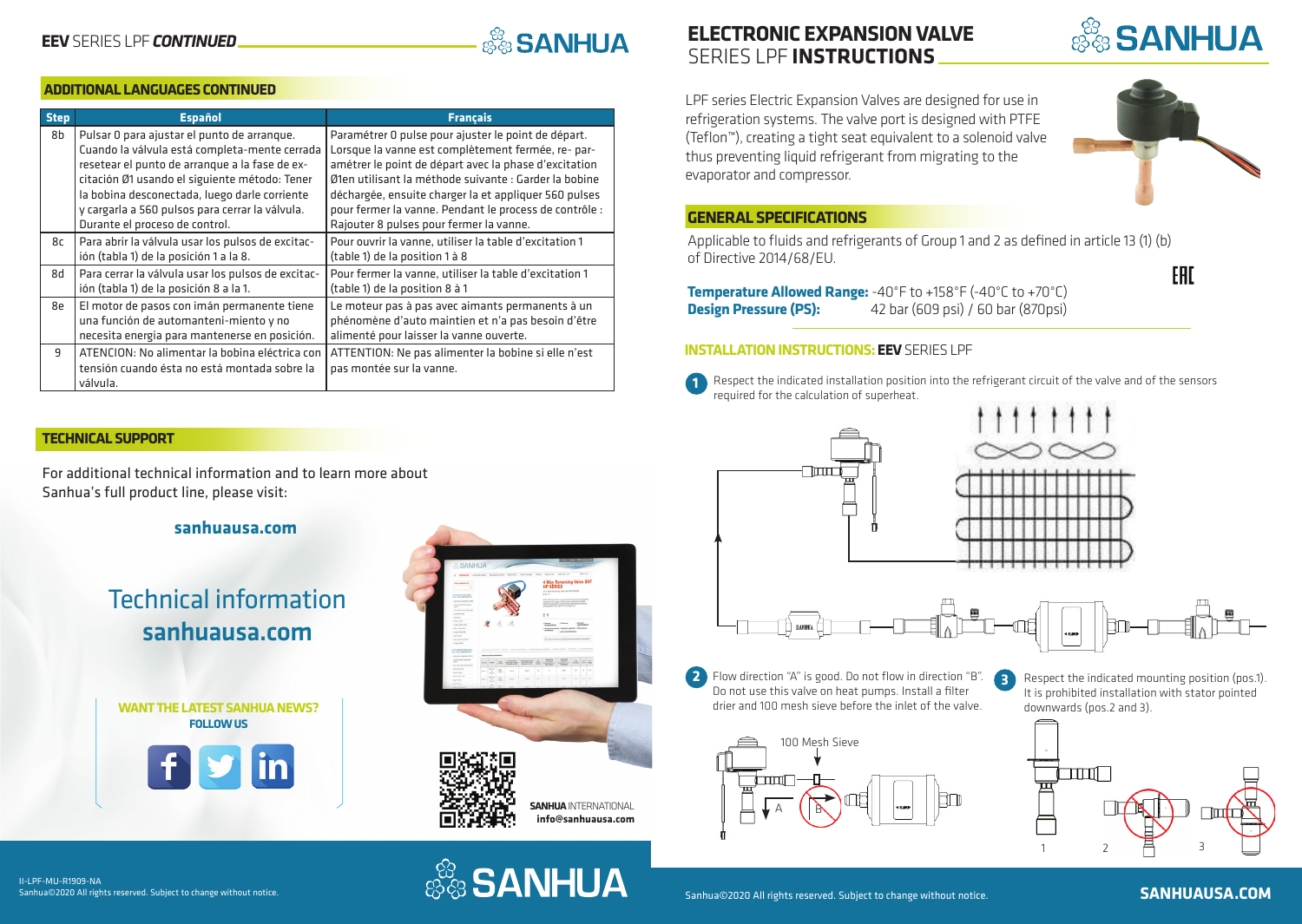# **ASSANHUA**

#### **ADDITIONAL LANGUAGES CONTINUED**

| <b>Step</b> | <b>Español</b>                                                                                                                                                                                                                                                                                                                        | <b>Français</b>                                                                                                                                                                                                                                                                                                                                                                           |
|-------------|---------------------------------------------------------------------------------------------------------------------------------------------------------------------------------------------------------------------------------------------------------------------------------------------------------------------------------------|-------------------------------------------------------------------------------------------------------------------------------------------------------------------------------------------------------------------------------------------------------------------------------------------------------------------------------------------------------------------------------------------|
| 8b          | Pulsar 0 para ajustar el punto de arranque.<br>Cuando la válvula está completa-mente cerrada<br>resetear el punto de arranque a la fase de ex-<br>citación Ø1 usando el siguiente método: Tener<br>la bobina desconectada, luego darle corriente<br>y cargarla a 560 pulsos para cerrar la válvula.<br>Durante el proceso de control. | Paramétrer 0 pulse pour ajuster le point de départ.<br>Lorsque la vanne est complètement fermée, re- par-<br>amétrer le point de départ avec la phase d'excitation<br>Ø1en utilisant la méthode suivante : Garder la bobine<br>déchargée, ensuite charger la et appliquer 560 pulses<br>pour fermer la vanne. Pendant le process de contrôle :<br>Rajouter 8 pulses pour fermer la vanne. |
| 8с          | Para abrir la válvula usar los pulsos de excitac-<br>ión (tabla 1) de la posición 1 a la 8.                                                                                                                                                                                                                                           | Pour ouvrir la vanne, utiliser la table d'excitation 1<br>(table 1) de la position 1 à 8                                                                                                                                                                                                                                                                                                  |
| b8          | Para cerrar la válvula usar los pulsos de excitac-<br>ión (tabla 1) de la posición 8 a la 1.                                                                                                                                                                                                                                          | Pour fermer la vanne, utiliser la table d'excitation 1<br>(table 1) de la position 8 à 1                                                                                                                                                                                                                                                                                                  |
| 8e          | El motor de pasos con imán permanente tiene<br>una función de automanteni-miento y no<br>necesita energia para mantenerse en posición.                                                                                                                                                                                                | Le moteur pas à pas avec aimants permanents à un<br>phénomène d'auto maintien et n'a pas besoin d'être<br>alimenté pour laisser la vanne ouverte.                                                                                                                                                                                                                                         |
| 9           | ATENCION: No alimentar la bobina eléctrica con<br>tensión cuando ésta no está montada sobre la<br>válvula.                                                                                                                                                                                                                            | ATTENTION: Ne pas alimenter la bobine si elle n'est<br>pas montée sur la vanne.                                                                                                                                                                                                                                                                                                           |

#### **TECHNICAL SUPPORT**

For additional technical information and to learn more about Sanhua's full product line, please visit:

#### **sanhuausa.com**

## Technical information sanhuausa.com

**WANT THE LATEST SANHUA NEWS? FOLLOW US**





### **ELECTRONIC EXPANSION VALVE**  SERIES LPF **INSTRUCTIONS**





**SANHUA** 

#### **GENERAL SPECIFICATIONS**

Applicable to fluids and refrigerants of Group 1 and 2 as defined in article 13 (1) (b) of Directive 2014/68/EU.

**Temperature Allowed Range:** -40°F to +158°F (-40°C to +70°C)<br>**Design Pressure (PS):** 42 bar (609 psi) / 60 bar (870psi) **Design Pressure (PS):** 42 bar (609 psi) / 60 bar (870psi)

#### **INSTALLATION INSTRUCTIONS: EEV** SERIES LPF



**1** Respect the indicated installation position into the refrigerant circuit of the valve and of the sensors required for the calculation of superheat.



**2 3** Flow direction "A" is good. Do not flow in direction "B". Do not use this valve on heat pumps. Install a filter drier and 100 mesh sieve before the inlet of the valve.



Respect the indicated mounting position (pos.1). It is prohibited installation with stator pointed downwards (pos.2 and 3).



II-LPF-MU-R1909-NA Sanhua©2020 All rights reserved. Subject to change without notice.





**EAC**